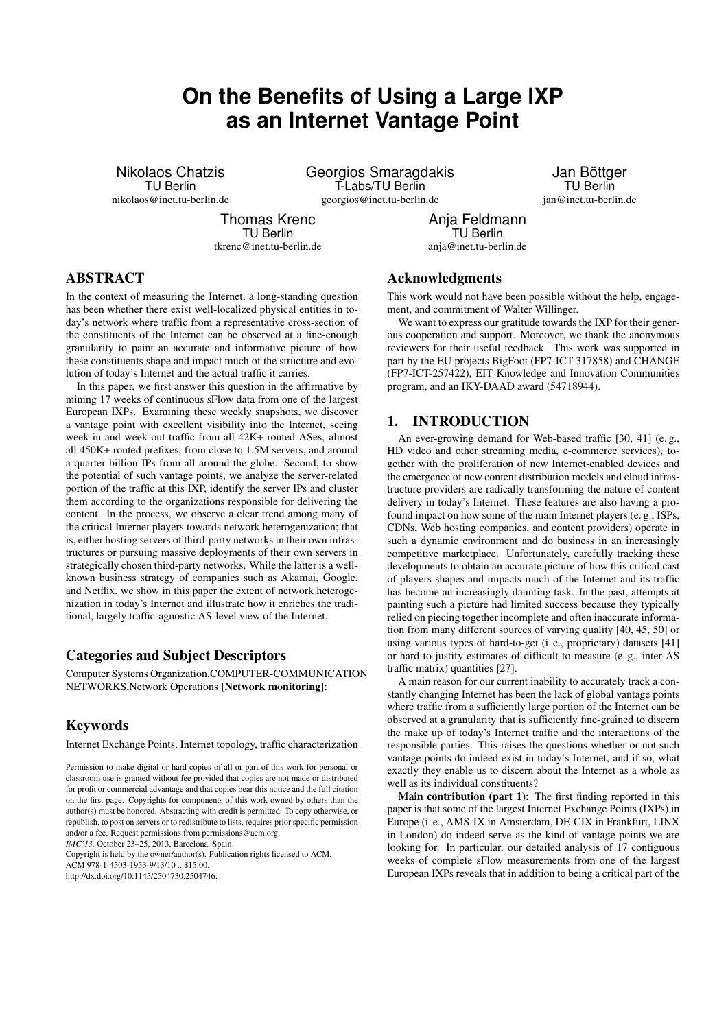# **On the Benefits of Using a Large IXP as an Internet Vantage Point**

Nikolaos Chatzis TU Berlin nikolaos@inet.tu-berlin.de Georgios Smaragdakis T-Labs/TU Berlin georgios@inet.tu-berlin.de

Jan Böttger TU Berlin jan@inet.tu-berlin.de

Thomas Krenc TU Berlin tkrenc@inet.tu-berlin.de

Anja Feldmann TU Berlin anja@inet.tu-berlin.de

# ABSTRACT

In the context of measuring the Internet, a long-standing question has been whether there exist well-localized physical entities in today's network where traffic from a representative cross-section of the constituents of the Internet can be observed at a fine-enough granularity to paint an accurate and informative picture of how these constituents shape and impact much of the structure and evolution of today's Internet and the actual traffic it carries.

In this paper, we first answer this question in the affirmative by mining 17 weeks of continuous sFlow data from one of the largest European IXPs. Examining these weekly snapshots, we discover a vantage point with excellent visibility into the Internet, seeing week-in and week-out traffic from all 42K+ routed ASes, almost all 450K+ routed prefixes, from close to 1.5M servers, and around a quarter billion IPs from all around the globe. Second, to show the potential of such vantage points, we analyze the server-related portion of the traffic at this IXP, identify the server IPs and cluster them according to the organizations responsible for delivering the content. In the process, we observe a clear trend among many of the critical Internet players towards network heterogenization; that is, either hosting servers of third-party networks in their own infrastructures or pursuing massive deployments of their own servers in strategically chosen third-party networks. While the latter is a wellknown business strategy of companies such as Akamai, Google, and Netflix, we show in this paper the extent of network heterogenization in today's Internet and illustrate how it enriches the traditional, largely traffic-agnostic AS-level view of the Internet.

## Categories and Subject Descriptors

Computer Systems Organization,COMPUTER-COMMUNICATION NETWORKS,Network Operations [Network monitoring]:

# Keywords

Internet Exchange Points, Internet topology, traffic characterization

*IMC'13,* October 23–25, 2013, Barcelona, Spain.

Copyright is held by the owner/author(s). Publication rights licensed to ACM.

ACM 978-1-4503-1953-9/13/10 \$15.00

http://dx.doi.org/10.1145/2504730.2504746.

## Acknowledgments

This work would not have been possible without the help, engagement, and commitment of Walter Willinger.

We want to express our gratitude towards the IXP for their generous cooperation and support. Moreover, we thank the anonymous reviewers for their useful feedback. This work was supported in part by the EU projects BigFoot (FP7-ICT-317858) and CHANGE (FP7-ICT-257422), EIT Knowledge and Innovation Communities program, and an IKY-DAAD award (54718944).

### 1. INTRODUCTION

An ever-growing demand for Web-based traffic [30, 41] (e.g., HD video and other streaming media, e-commerce services), together with the proliferation of new Internet-enabled devices and the emergence of new content distribution models and cloud infrastructure providers are radically transforming the nature of content delivery in today's Internet. These features are also having a profound impact on how some of the main Internet players (e. g., ISPs, CDNs, Web hosting companies, and content providers) operate in such a dynamic environment and do business in an increasingly competitive marketplace. Unfortunately, carefully tracking these developments to obtain an accurate picture of how this critical cast of players shapes and impacts much of the Internet and its traffic has become an increasingly daunting task. In the past, attempts at painting such a picture had limited success because they typically relied on piecing together incomplete and often inaccurate information from many different sources of varying quality [40, 45, 50] or using various types of hard-to-get (i. e., proprietary) datasets [41] or hard-to-justify estimates of difficult-to-measure (e. g., inter-AS traffic matrix) quantities [27].

A main reason for our current inability to accurately track a constantly changing Internet has been the lack of global vantage points where traffic from a sufficiently large portion of the Internet can be observed at a granularity that is sufficiently fine-grained to discern the make up of today's Internet traffic and the interactions of the responsible parties. This raises the questions whether or not such vantage points do indeed exist in today's Internet, and if so, what exactly they enable us to discern about the Internet as a whole as well as its individual constituents?

Main contribution (part 1): The first finding reported in this paper is that some of the largest Internet Exchange Points (IXPs) in Europe (i. e., AMS-IX in Amsterdam, DE-CIX in Frankfurt, LINX in London) do indeed serve as the kind of vantage points we are looking for. In particular, our detailed analysis of 17 contiguous weeks of complete sFlow measurements from one of the largest European IXPs reveals that in addition to being a critical part of the

Permission to make digital or hard copies of all or part of this work for personal or classroom use is granted without fee provided that copies are not made or distributed for profit or commercial advantage and that copies bear this notice and the full citation on the first page. Copyrights for components of this work owned by others than the author(s) must be honored. Abstracting with credit is permitted. To copy otherwise, or republish, to post on servers or to redistribute to lists, requires prior specific permission and/or a fee. Request permissions from permissions@acm.org.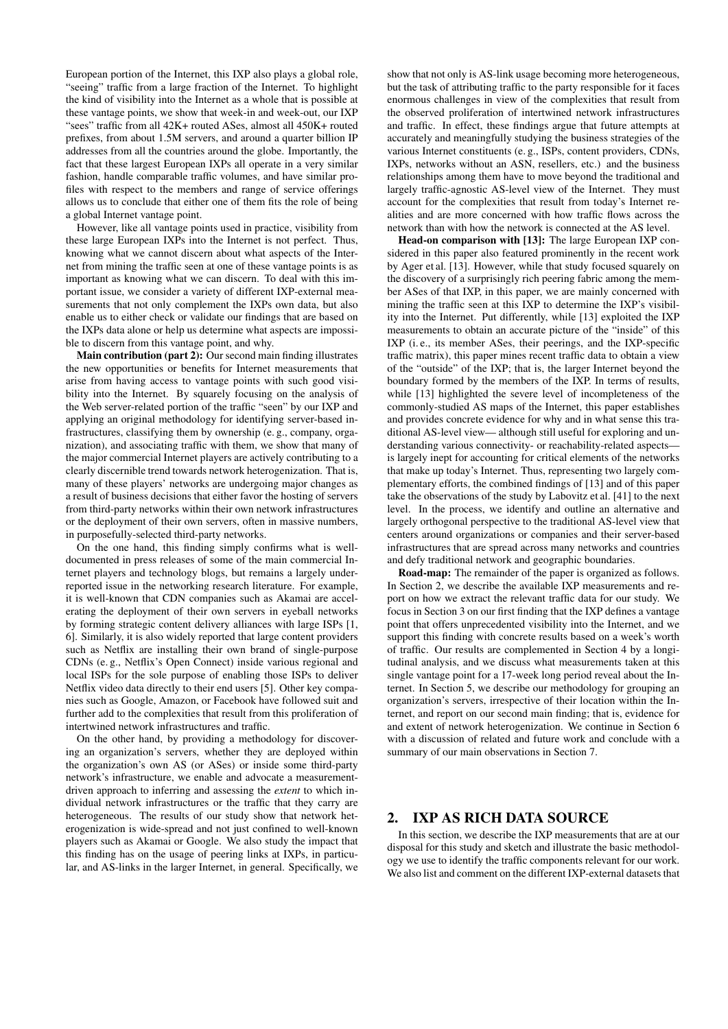European portion of the Internet, this IXP also plays a global role, "seeing" traffic from a large fraction of the Internet. To highlight the kind of visibility into the Internet as a whole that is possible at these vantage points, we show that week-in and week-out, our IXP "sees" traffic from all 42K+ routed ASes, almost all 450K+ routed prefixes, from about 1.5M servers, and around a quarter billion IP addresses from all the countries around the globe. Importantly, the fact that these largest European IXPs all operate in a very similar fashion, handle comparable traffic volumes, and have similar profiles with respect to the members and range of service offerings allows us to conclude that either one of them fits the role of being a global Internet vantage point.

However, like all vantage points used in practice, visibility from these large European IXPs into the Internet is not perfect. Thus, knowing what we cannot discern about what aspects of the Internet from mining the traffic seen at one of these vantage points is as important as knowing what we can discern. To deal with this important issue, we consider a variety of different IXP-external measurements that not only complement the IXPs own data, but also enable us to either check or validate our findings that are based on the IXPs data alone or help us determine what aspects are impossible to discern from this vantage point, and why.

Main contribution (part 2): Our second main finding illustrates the new opportunities or benefits for Internet measurements that arise from having access to vantage points with such good visibility into the Internet. By squarely focusing on the analysis of the Web server-related portion of the traffic "seen" by our IXP and applying an original methodology for identifying server-based infrastructures, classifying them by ownership (e. g., company, organization), and associating traffic with them, we show that many of the major commercial Internet players are actively contributing to a clearly discernible trend towards network heterogenization. That is, many of these players' networks are undergoing major changes as a result of business decisions that either favor the hosting of servers from third-party networks within their own network infrastructures or the deployment of their own servers, often in massive numbers, in purposefully-selected third-party networks.

On the one hand, this finding simply confirms what is welldocumented in press releases of some of the main commercial Internet players and technology blogs, but remains a largely underreported issue in the networking research literature. For example, it is well-known that CDN companies such as Akamai are accelerating the deployment of their own servers in eyeball networks by forming strategic content delivery alliances with large ISPs [1, 6]. Similarly, it is also widely reported that large content providers such as Netflix are installing their own brand of single-purpose CDNs (e. g., Netflix's Open Connect) inside various regional and local ISPs for the sole purpose of enabling those ISPs to deliver Netflix video data directly to their end users [5]. Other key companies such as Google, Amazon, or Facebook have followed suit and further add to the complexities that result from this proliferation of intertwined network infrastructures and traffic.

On the other hand, by providing a methodology for discovering an organization's servers, whether they are deployed within the organization's own AS (or ASes) or inside some third-party network's infrastructure, we enable and advocate a measurementdriven approach to inferring and assessing the *extent* to which individual network infrastructures or the traffic that they carry are heterogeneous. The results of our study show that network heterogenization is wide-spread and not just confined to well-known players such as Akamai or Google. We also study the impact that this finding has on the usage of peering links at IXPs, in particular, and AS-links in the larger Internet, in general. Specifically, we

show that not only is AS-link usage becoming more heterogeneous, but the task of attributing traffic to the party responsible for it faces enormous challenges in view of the complexities that result from the observed proliferation of intertwined network infrastructures and traffic. In effect, these findings argue that future attempts at accurately and meaningfully studying the business strategies of the various Internet constituents (e. g., ISPs, content providers, CDNs, IXPs, networks without an ASN, resellers, etc.) and the business relationships among them have to move beyond the traditional and largely traffic-agnostic AS-level view of the Internet. They must account for the complexities that result from today's Internet realities and are more concerned with how traffic flows across the network than with how the network is connected at the AS level.

Head-on comparison with [13]: The large European IXP considered in this paper also featured prominently in the recent work by Ager et al. [13]. However, while that study focused squarely on the discovery of a surprisingly rich peering fabric among the member ASes of that IXP, in this paper, we are mainly concerned with mining the traffic seen at this IXP to determine the IXP's visibility into the Internet. Put differently, while [13] exploited the IXP measurements to obtain an accurate picture of the "inside" of this IXP (i. e., its member ASes, their peerings, and the IXP-specific traffic matrix), this paper mines recent traffic data to obtain a view of the "outside" of the IXP; that is, the larger Internet beyond the boundary formed by the members of the IXP. In terms of results, while [13] highlighted the severe level of incompleteness of the commonly-studied AS maps of the Internet, this paper establishes and provides concrete evidence for why and in what sense this traditional AS-level view— although still useful for exploring and understanding various connectivity- or reachability-related aspects is largely inept for accounting for critical elements of the networks that make up today's Internet. Thus, representing two largely complementary efforts, the combined findings of [13] and of this paper take the observations of the study by Labovitz et al. [41] to the next level. In the process, we identify and outline an alternative and largely orthogonal perspective to the traditional AS-level view that centers around organizations or companies and their server-based infrastructures that are spread across many networks and countries and defy traditional network and geographic boundaries.

Road-map: The remainder of the paper is organized as follows. In Section 2, we describe the available IXP measurements and report on how we extract the relevant traffic data for our study. We focus in Section 3 on our first finding that the IXP defines a vantage point that offers unprecedented visibility into the Internet, and we support this finding with concrete results based on a week's worth of traffic. Our results are complemented in Section 4 by a longitudinal analysis, and we discuss what measurements taken at this single vantage point for a 17-week long period reveal about the Internet. In Section 5, we describe our methodology for grouping an organization's servers, irrespective of their location within the Internet, and report on our second main finding; that is, evidence for and extent of network heterogenization. We continue in Section 6 with a discussion of related and future work and conclude with a summary of our main observations in Section 7.

#### 2. IXP AS RICH DATA SOURCE

In this section, we describe the IXP measurements that are at our disposal for this study and sketch and illustrate the basic methodology we use to identify the traffic components relevant for our work. We also list and comment on the different IXP-external datasets that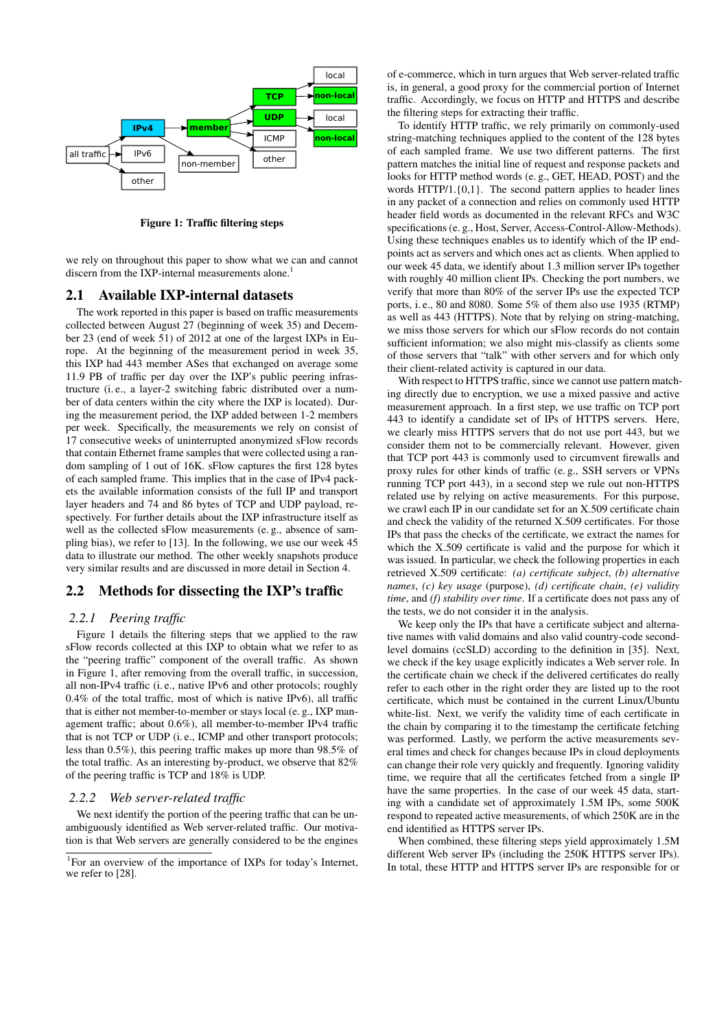

Figure 1: Traffic filtering steps

we rely on throughout this paper to show what we can and cannot discern from the IXP-internal measurements alone.<sup>1</sup>

#### 2.1 Available IXP-internal datasets

The work reported in this paper is based on traffic measurements collected between August 27 (beginning of week 35) and December 23 (end of week 51) of 2012 at one of the largest IXPs in Europe. At the beginning of the measurement period in week 35, this IXP had 443 member ASes that exchanged on average some 11.9 PB of traffic per day over the IXP's public peering infrastructure (i. e., a layer-2 switching fabric distributed over a number of data centers within the city where the IXP is located). During the measurement period, the IXP added between 1-2 members per week. Specifically, the measurements we rely on consist of 17 consecutive weeks of uninterrupted anonymized sFlow records that contain Ethernet frame samples that were collected using a random sampling of 1 out of 16K. sFlow captures the first 128 bytes of each sampled frame. This implies that in the case of IPv4 packets the available information consists of the full IP and transport layer headers and 74 and 86 bytes of TCP and UDP payload, respectively. For further details about the IXP infrastructure itself as well as the collected sFlow measurements (e. g., absence of sampling bias), we refer to [13]. In the following, we use our week 45 data to illustrate our method. The other weekly snapshots produce very similar results and are discussed in more detail in Section 4.

#### 2.2 Methods for dissecting the IXP's traffic

#### *2.2.1 Peering traffic*

Figure 1 details the filtering steps that we applied to the raw sFlow records collected at this IXP to obtain what we refer to as the "peering traffic" component of the overall traffic. As shown in Figure 1, after removing from the overall traffic, in succession, all non-IPv4 traffic (i. e., native IPv6 and other protocols; roughly 0.4% of the total traffic, most of which is native IPv6), all traffic that is either not member-to-member or stays local (e. g., IXP management traffic; about 0.6%), all member-to-member IPv4 traffic that is not TCP or UDP (i. e., ICMP and other transport protocols; less than 0.5%), this peering traffic makes up more than 98.5% of the total traffic. As an interesting by-product, we observe that 82% of the peering traffic is TCP and 18% is UDP.

#### *2.2.2 Web server-related traffic*

We next identify the portion of the peering traffic that can be unambiguously identified as Web server-related traffic. Our motivation is that Web servers are generally considered to be the engines of e-commerce, which in turn argues that Web server-related traffic is, in general, a good proxy for the commercial portion of Internet traffic. Accordingly, we focus on HTTP and HTTPS and describe the filtering steps for extracting their traffic.

To identify HTTP traffic, we rely primarily on commonly-used string-matching techniques applied to the content of the 128 bytes of each sampled frame. We use two different patterns. The first pattern matches the initial line of request and response packets and looks for HTTP method words (e. g., GET, HEAD, POST) and the words HTTP/1.{0,1}. The second pattern applies to header lines in any packet of a connection and relies on commonly used HTTP header field words as documented in the relevant RFCs and W3C specifications (e. g., Host, Server, Access-Control-Allow-Methods). Using these techniques enables us to identify which of the IP endpoints act as servers and which ones act as clients. When applied to our week 45 data, we identify about 1.3 million server IPs together with roughly 40 million client IPs. Checking the port numbers, we verify that more than 80% of the server IPs use the expected TCP ports, i. e., 80 and 8080. Some 5% of them also use 1935 (RTMP) as well as 443 (HTTPS). Note that by relying on string-matching, we miss those servers for which our sFlow records do not contain sufficient information; we also might mis-classify as clients some of those servers that "talk" with other servers and for which only their client-related activity is captured in our data.

With respect to HTTPS traffic, since we cannot use pattern matching directly due to encryption, we use a mixed passive and active measurement approach. In a first step, we use traffic on TCP port 443 to identify a candidate set of IPs of HTTPS servers. Here, we clearly miss HTTPS servers that do not use port 443, but we consider them not to be commercially relevant. However, given that TCP port 443 is commonly used to circumvent firewalls and proxy rules for other kinds of traffic (e. g., SSH servers or VPNs running TCP port 443), in a second step we rule out non-HTTPS related use by relying on active measurements. For this purpose, we crawl each IP in our candidate set for an X.509 certificate chain and check the validity of the returned X.509 certificates. For those IPs that pass the checks of the certificate, we extract the names for which the X.509 certificate is valid and the purpose for which it was issued. In particular, we check the following properties in each retrieved X.509 certificate: *(a) certificate subject*, *(b) alternative names*, *(c) key usage* (purpose), *(d) certificate chain*, *(e) validity time*, and *(f) stability over time*. If a certificate does not pass any of the tests, we do not consider it in the analysis.

We keep only the IPs that have a certificate subject and alternative names with valid domains and also valid country-code secondlevel domains (ccSLD) according to the definition in [35]. Next, we check if the key usage explicitly indicates a Web server role. In the certificate chain we check if the delivered certificates do really refer to each other in the right order they are listed up to the root certificate, which must be contained in the current Linux/Ubuntu white-list. Next, we verify the validity time of each certificate in the chain by comparing it to the timestamp the certificate fetching was performed. Lastly, we perform the active measurements several times and check for changes because IPs in cloud deployments can change their role very quickly and frequently. Ignoring validity time, we require that all the certificates fetched from a single IP have the same properties. In the case of our week 45 data, starting with a candidate set of approximately 1.5M IPs, some 500K respond to repeated active measurements, of which 250K are in the end identified as HTTPS server IPs.

When combined, these filtering steps yield approximately 1.5M different Web server IPs (including the 250K HTTPS server IPs). In total, these HTTP and HTTPS server IPs are responsible for or

<sup>&</sup>lt;sup>1</sup>For an overview of the importance of IXPs for today's Internet, we refer to [28].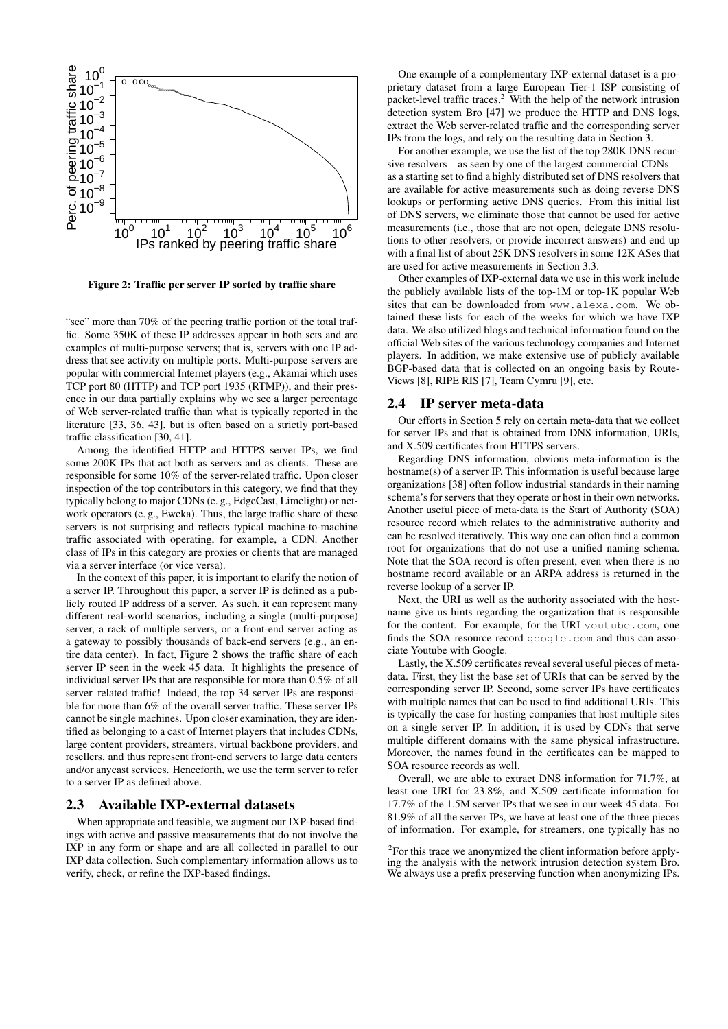

Figure 2: Traffic per server IP sorted by traffic share

"see" more than 70% of the peering traffic portion of the total traffic. Some 350K of these IP addresses appear in both sets and are examples of multi-purpose servers; that is, servers with one IP address that see activity on multiple ports. Multi-purpose servers are popular with commercial Internet players (e.g., Akamai which uses TCP port 80 (HTTP) and TCP port 1935 (RTMP)), and their presence in our data partially explains why we see a larger percentage of Web server-related traffic than what is typically reported in the literature [33, 36, 43], but is often based on a strictly port-based traffic classification [30, 41].

Among the identified HTTP and HTTPS server IPs, we find some 200K IPs that act both as servers and as clients. These are responsible for some 10% of the server-related traffic. Upon closer inspection of the top contributors in this category, we find that they typically belong to major CDNs (e. g., EdgeCast, Limelight) or network operators (e. g., Eweka). Thus, the large traffic share of these servers is not surprising and reflects typical machine-to-machine traffic associated with operating, for example, a CDN. Another class of IPs in this category are proxies or clients that are managed via a server interface (or vice versa).

In the context of this paper, it is important to clarify the notion of a server IP. Throughout this paper, a server IP is defined as a publicly routed IP address of a server. As such, it can represent many different real-world scenarios, including a single (multi-purpose) server, a rack of multiple servers, or a front-end server acting as a gateway to possibly thousands of back-end servers (e.g., an entire data center). In fact, Figure 2 shows the traffic share of each server IP seen in the week 45 data. It highlights the presence of individual server IPs that are responsible for more than 0.5% of all server–related traffic! Indeed, the top 34 server IPs are responsible for more than 6% of the overall server traffic. These server IPs cannot be single machines. Upon closer examination, they are identified as belonging to a cast of Internet players that includes CDNs, large content providers, streamers, virtual backbone providers, and resellers, and thus represent front-end servers to large data centers and/or anycast services. Henceforth, we use the term server to refer to a server IP as defined above.

#### 2.3 Available IXP-external datasets

When appropriate and feasible, we augment our IXP-based findings with active and passive measurements that do not involve the IXP in any form or shape and are all collected in parallel to our IXP data collection. Such complementary information allows us to verify, check, or refine the IXP-based findings.

One example of a complementary IXP-external dataset is a proprietary dataset from a large European Tier-1 ISP consisting of packet-level traffic traces.<sup>2</sup> With the help of the network intrusion detection system Bro [47] we produce the HTTP and DNS logs, extract the Web server-related traffic and the corresponding server IPs from the logs, and rely on the resulting data in Section 3.

For another example, we use the list of the top 280K DNS recursive resolvers—as seen by one of the largest commercial CDNs as a starting set to find a highly distributed set of DNS resolvers that are available for active measurements such as doing reverse DNS lookups or performing active DNS queries. From this initial list of DNS servers, we eliminate those that cannot be used for active measurements (i.e., those that are not open, delegate DNS resolutions to other resolvers, or provide incorrect answers) and end up with a final list of about 25K DNS resolvers in some 12K ASes that are used for active measurements in Section 3.3.

Other examples of IXP-external data we use in this work include the publicly available lists of the top-1M or top-1K popular Web sites that can be downloaded from www.alexa.com. We obtained these lists for each of the weeks for which we have IXP data. We also utilized blogs and technical information found on the official Web sites of the various technology companies and Internet players. In addition, we make extensive use of publicly available BGP-based data that is collected on an ongoing basis by Route-Views [8], RIPE RIS [7], Team Cymru [9], etc.

#### 2.4 IP server meta-data

Our efforts in Section 5 rely on certain meta-data that we collect for server IPs and that is obtained from DNS information, URIs, and X.509 certificates from HTTPS servers.

Regarding DNS information, obvious meta-information is the hostname(s) of a server IP. This information is useful because large organizations [38] often follow industrial standards in their naming schema's for servers that they operate or host in their own networks. Another useful piece of meta-data is the Start of Authority (SOA) resource record which relates to the administrative authority and can be resolved iteratively. This way one can often find a common root for organizations that do not use a unified naming schema. Note that the SOA record is often present, even when there is no hostname record available or an ARPA address is returned in the reverse lookup of a server IP.

Next, the URI as well as the authority associated with the hostname give us hints regarding the organization that is responsible for the content. For example, for the URI youtube.com, one finds the SOA resource record google.com and thus can associate Youtube with Google.

Lastly, the X.509 certificates reveal several useful pieces of metadata. First, they list the base set of URIs that can be served by the corresponding server IP. Second, some server IPs have certificates with multiple names that can be used to find additional URIs. This is typically the case for hosting companies that host multiple sites on a single server IP. In addition, it is used by CDNs that serve multiple different domains with the same physical infrastructure. Moreover, the names found in the certificates can be mapped to SOA resource records as well.

Overall, we are able to extract DNS information for 71.7%, at least one URI for 23.8%, and X.509 certificate information for 17.7% of the 1.5M server IPs that we see in our week 45 data. For 81.9% of all the server IPs, we have at least one of the three pieces of information. For example, for streamers, one typically has no

<sup>&</sup>lt;sup>2</sup>For this trace we anonymized the client information before applying the analysis with the network intrusion detection system Bro. We always use a prefix preserving function when anonymizing IPs.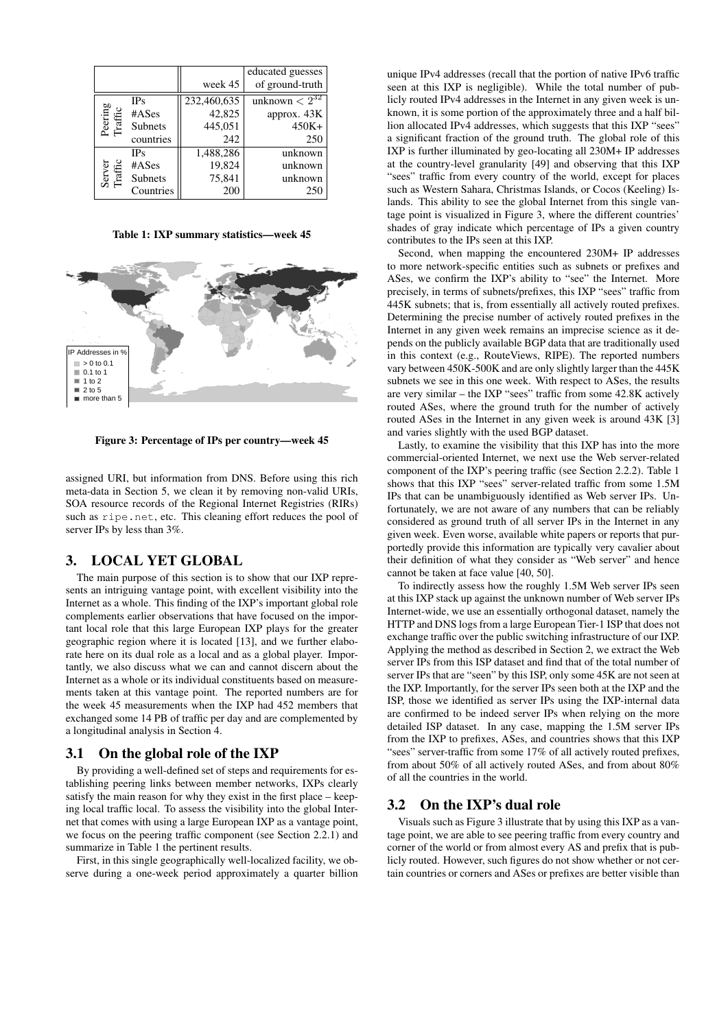|                    |                | week 45     | educated guesses<br>of ground-truth |
|--------------------|----------------|-------------|-------------------------------------|
| Peering<br>Traffic | <b>IPs</b>     | 232,460,635 | unknown $\overline{<2^{32}}$        |
|                    | #ASes          | 42,825      | approx. 43K                         |
|                    | Subnets        | 445,051     | $450K+$                             |
|                    | countries      | 242         | 250                                 |
| Server<br>Traffic  | <b>IPs</b>     | 1,488,286   | unknown                             |
|                    | #ASes          | 19,824      | unknown                             |
|                    | <b>Subnets</b> | 75,841      | unknown                             |
|                    | Countries      | 200         | 250                                 |

Table 1: IXP summary statistics—week 45



Figure 3: Percentage of IPs per country—week 45

assigned URI, but information from DNS. Before using this rich meta-data in Section 5, we clean it by removing non-valid URIs, SOA resource records of the Regional Internet Registries (RIRs) such as ripe.net, etc. This cleaning effort reduces the pool of server IPs by less than 3%.

## 3. LOCAL YET GLOBAL

The main purpose of this section is to show that our IXP represents an intriguing vantage point, with excellent visibility into the Internet as a whole. This finding of the IXP's important global role complements earlier observations that have focused on the important local role that this large European IXP plays for the greater geographic region where it is located [13], and we further elaborate here on its dual role as a local and as a global player. Importantly, we also discuss what we can and cannot discern about the Internet as a whole or its individual constituents based on measurements taken at this vantage point. The reported numbers are for the week 45 measurements when the IXP had 452 members that exchanged some 14 PB of traffic per day and are complemented by a longitudinal analysis in Section 4.

#### 3.1 On the global role of the IXP

By providing a well-defined set of steps and requirements for establishing peering links between member networks, IXPs clearly satisfy the main reason for why they exist in the first place – keeping local traffic local. To assess the visibility into the global Internet that comes with using a large European IXP as a vantage point, we focus on the peering traffic component (see Section 2.2.1) and summarize in Table 1 the pertinent results.

First, in this single geographically well-localized facility, we observe during a one-week period approximately a quarter billion

unique IPv4 addresses (recall that the portion of native IPv6 traffic seen at this IXP is negligible). While the total number of publicly routed IPv4 addresses in the Internet in any given week is unknown, it is some portion of the approximately three and a half billion allocated IPv4 addresses, which suggests that this IXP "sees" a significant fraction of the ground truth. The global role of this IXP is further illuminated by geo-locating all 230M+ IP addresses at the country-level granularity [49] and observing that this IXP "sees" traffic from every country of the world, except for places such as Western Sahara, Christmas Islands, or Cocos (Keeling) Islands. This ability to see the global Internet from this single vantage point is visualized in Figure 3, where the different countries' shades of gray indicate which percentage of IPs a given country contributes to the IPs seen at this IXP.

Second, when mapping the encountered 230M+ IP addresses to more network-specific entities such as subnets or prefixes and ASes, we confirm the IXP's ability to "see" the Internet. More precisely, in terms of subnets/prefixes, this IXP "sees" traffic from 445K subnets; that is, from essentially all actively routed prefixes. Determining the precise number of actively routed prefixes in the Internet in any given week remains an imprecise science as it depends on the publicly available BGP data that are traditionally used in this context (e.g., RouteViews, RIPE). The reported numbers vary between 450K-500K and are only slightly larger than the 445K subnets we see in this one week. With respect to ASes, the results are very similar – the IXP "sees" traffic from some 42.8K actively routed ASes, where the ground truth for the number of actively routed ASes in the Internet in any given week is around 43K [3] and varies slightly with the used BGP dataset.

Lastly, to examine the visibility that this IXP has into the more commercial-oriented Internet, we next use the Web server-related component of the IXP's peering traffic (see Section 2.2.2). Table 1 shows that this IXP "sees" server-related traffic from some 1.5M IPs that can be unambiguously identified as Web server IPs. Unfortunately, we are not aware of any numbers that can be reliably considered as ground truth of all server IPs in the Internet in any given week. Even worse, available white papers or reports that purportedly provide this information are typically very cavalier about their definition of what they consider as "Web server" and hence cannot be taken at face value [40, 50].

To indirectly assess how the roughly 1.5M Web server IPs seen at this IXP stack up against the unknown number of Web server IPs Internet-wide, we use an essentially orthogonal dataset, namely the HTTP and DNS logs from a large European Tier-1 ISP that does not exchange traffic over the public switching infrastructure of our IXP. Applying the method as described in Section 2, we extract the Web server IPs from this ISP dataset and find that of the total number of server IPs that are "seen" by this ISP, only some 45K are not seen at the IXP. Importantly, for the server IPs seen both at the IXP and the ISP, those we identified as server IPs using the IXP-internal data are confirmed to be indeed server IPs when relying on the more detailed ISP dataset. In any case, mapping the 1.5M server IPs from the IXP to prefixes, ASes, and countries shows that this IXP "sees" server-traffic from some 17% of all actively routed prefixes, from about 50% of all actively routed ASes, and from about 80% of all the countries in the world.

# 3.2 On the IXP's dual role

Visuals such as Figure 3 illustrate that by using this IXP as a vantage point, we are able to see peering traffic from every country and corner of the world or from almost every AS and prefix that is publicly routed. However, such figures do not show whether or not certain countries or corners and ASes or prefixes are better visible than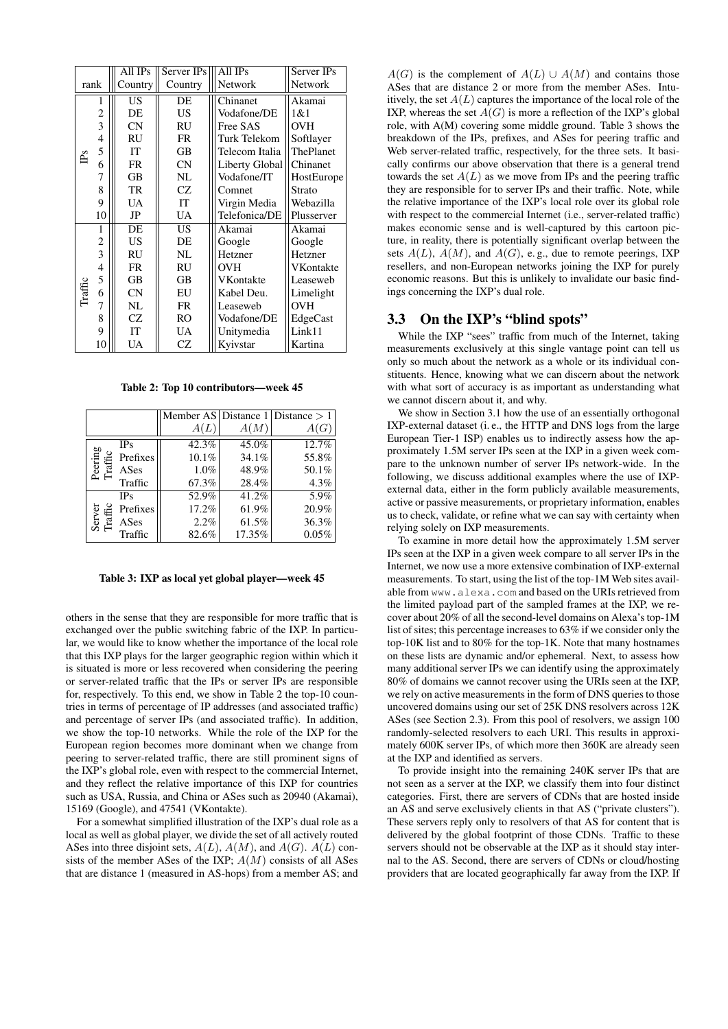|                                                                          |                         | All IPs   | Server IPs | All IPs        | Server IPs |
|--------------------------------------------------------------------------|-------------------------|-----------|------------|----------------|------------|
|                                                                          | rank                    | Country   | Country    | Network        | Network    |
| 1<br>$\frac{2}{3}$<br>4<br>5<br>P <sub>S</sub><br>6<br>7<br>8<br>9<br>10 |                         | US        | DE         | Chinanet       | Akamai     |
|                                                                          |                         | DE        | US.        | Vodafone/DE    | 1 & 1      |
|                                                                          |                         | CN        | RU         | Free SAS       | <b>OVH</b> |
|                                                                          |                         | RU        | FR.        | Turk Telekom   | Softlayer  |
|                                                                          |                         | IT        | GВ         | Telecom Italia | ThePlanet  |
|                                                                          |                         | <b>FR</b> | <b>CN</b>  | Liberty Global | Chinanet   |
|                                                                          |                         | GB        | NL         | Vodafone/IT    | HostEurope |
|                                                                          |                         | TR        | <b>CZ</b>  | Comnet         | Strato     |
|                                                                          |                         | UA        | <b>IT</b>  | Virgin Media   | Webazilla  |
|                                                                          |                         | JP        | UA         | Telefonica/DE  | Plusserver |
| Traffic                                                                  | 1                       | DE        | <b>US</b>  | Akamai         | Akamai     |
|                                                                          | $\overline{c}$          | US        | DE         | Google         | Google     |
|                                                                          | $\overline{\mathbf{3}}$ | <b>RU</b> | NL         | Hetzner        | Hetzner    |
|                                                                          | $\overline{4}$          | <b>FR</b> | RU         | OVH            | VKontakte  |
|                                                                          | 5                       | GB        | <b>GB</b>  | VKontakte      | Leaseweb   |
|                                                                          | 6                       | CN        | EU         | Kabel Deu.     | Limelight  |
|                                                                          | 7                       | NL        | <b>FR</b>  | Leaseweb       | <b>OVH</b> |
|                                                                          | 8                       | CZ.       | <b>RO</b>  | Vodafone/DE    | EdgeCast   |
|                                                                          | 9                       | IT        | <b>UA</b>  | Unitymedia     | Link11     |
|                                                                          | 10                      | UA        | CZ         | Kyivstar       | Kartina    |

Table 2: Top 10 contributors—week 45

|                    |            |          |        | Member AS Distance 1 Distance $> 1$ |
|--------------------|------------|----------|--------|-------------------------------------|
|                    |            | A(L)     | A(M)   | A(G)                                |
| Peering<br>Traffic | <b>IPs</b> | 42.3%    | 45.0%  | 12.7%                               |
|                    | Prefixes   | $10.1\%$ | 34.1%  | 55.8%                               |
|                    | ASes       | $1.0\%$  | 48.9%  | 50.1%                               |
|                    | Traffic    | 67.3%    | 28.4%  | 4.3%                                |
| Server<br>Traffic  | <b>IPs</b> | 52.9%    | 41.2%  | 5.9%                                |
|                    | Prefixes   | 17.2%    | 61.9%  | 20.9%                               |
|                    | ASes       | 2.2%     | 61.5%  | 36.3%                               |
|                    | Traffic    | 82.6%    | 17.35% | 0.05%                               |

Table 3: IXP as local yet global player—week 45

others in the sense that they are responsible for more traffic that is exchanged over the public switching fabric of the IXP. In particular, we would like to know whether the importance of the local role that this IXP plays for the larger geographic region within which it is situated is more or less recovered when considering the peering or server-related traffic that the IPs or server IPs are responsible for, respectively. To this end, we show in Table 2 the top-10 countries in terms of percentage of IP addresses (and associated traffic) and percentage of server IPs (and associated traffic). In addition, we show the top-10 networks. While the role of the IXP for the European region becomes more dominant when we change from peering to server-related traffic, there are still prominent signs of the IXP's global role, even with respect to the commercial Internet, and they reflect the relative importance of this IXP for countries such as USA, Russia, and China or ASes such as 20940 (Akamai), 15169 (Google), and 47541 (VKontakte).

For a somewhat simplified illustration of the IXP's dual role as a local as well as global player, we divide the set of all actively routed ASes into three disjoint sets,  $A(L)$ ,  $A(M)$ , and  $A(G)$ .  $A(L)$  consists of the member ASes of the IXP;  $A(M)$  consists of all ASes that are distance 1 (measured in AS-hops) from a member AS; and

 $A(G)$  is the complement of  $A(L) \cup A(M)$  and contains those ASes that are distance 2 or more from the member ASes. Intuitively, the set  $A(L)$  captures the importance of the local role of the IXP, whereas the set  $A(G)$  is more a reflection of the IXP's global role, with A(M) covering some middle ground. Table 3 shows the breakdown of the IPs, prefixes, and ASes for peering traffic and Web server-related traffic, respectively, for the three sets. It basically confirms our above observation that there is a general trend towards the set  $A(L)$  as we move from IPs and the peering traffic they are responsible for to server IPs and their traffic. Note, while the relative importance of the IXP's local role over its global role with respect to the commercial Internet (i.e., server-related traffic) makes economic sense and is well-captured by this cartoon picture, in reality, there is potentially significant overlap between the sets  $A(L)$ ,  $A(M)$ , and  $A(G)$ , e.g., due to remote peerings, IXP resellers, and non-European networks joining the IXP for purely economic reasons. But this is unlikely to invalidate our basic findings concerning the IXP's dual role.

#### 3.3 On the IXP's "blind spots"

While the IXP "sees" traffic from much of the Internet, taking measurements exclusively at this single vantage point can tell us only so much about the network as a whole or its individual constituents. Hence, knowing what we can discern about the network with what sort of accuracy is as important as understanding what we cannot discern about it, and why.

We show in Section 3.1 how the use of an essentially orthogonal IXP-external dataset (i. e., the HTTP and DNS logs from the large European Tier-1 ISP) enables us to indirectly assess how the approximately 1.5M server IPs seen at the IXP in a given week compare to the unknown number of server IPs network-wide. In the following, we discuss additional examples where the use of IXPexternal data, either in the form publicly available measurements, active or passive measurements, or proprietary information, enables us to check, validate, or refine what we can say with certainty when relying solely on IXP measurements.

To examine in more detail how the approximately 1.5M server IPs seen at the IXP in a given week compare to all server IPs in the Internet, we now use a more extensive combination of IXP-external measurements. To start, using the list of the top-1M Web sites available from www.alexa.com and based on the URIs retrieved from the limited payload part of the sampled frames at the IXP, we recover about 20% of all the second-level domains on Alexa's top-1M list of sites; this percentage increases to 63% if we consider only the top-10K list and to 80% for the top-1K. Note that many hostnames on these lists are dynamic and/or ephemeral. Next, to assess how many additional server IPs we can identify using the approximately 80% of domains we cannot recover using the URIs seen at the IXP, we rely on active measurements in the form of DNS queries to those uncovered domains using our set of 25K DNS resolvers across 12K ASes (see Section 2.3). From this pool of resolvers, we assign 100 randomly-selected resolvers to each URI. This results in approximately 600K server IPs, of which more then 360K are already seen at the IXP and identified as servers.

To provide insight into the remaining 240K server IPs that are not seen as a server at the IXP, we classify them into four distinct categories. First, there are servers of CDNs that are hosted inside an AS and serve exclusively clients in that AS ("private clusters"). These servers reply only to resolvers of that AS for content that is delivered by the global footprint of those CDNs. Traffic to these servers should not be observable at the IXP as it should stay internal to the AS. Second, there are servers of CDNs or cloud/hosting providers that are located geographically far away from the IXP. If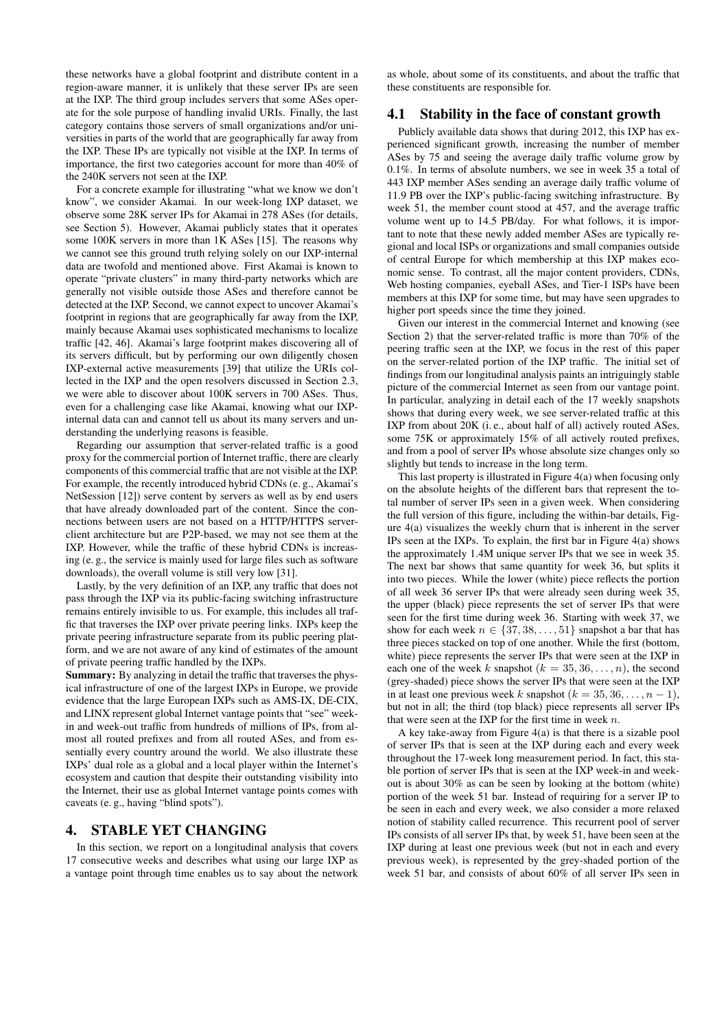these networks have a global footprint and distribute content in a region-aware manner, it is unlikely that these server IPs are seen at the IXP. The third group includes servers that some ASes operate for the sole purpose of handling invalid URIs. Finally, the last category contains those servers of small organizations and/or universities in parts of the world that are geographically far away from the IXP. These IPs are typically not visible at the IXP. In terms of importance, the first two categories account for more than 40% of the 240K servers not seen at the IXP.

For a concrete example for illustrating "what we know we don't know", we consider Akamai. In our week-long IXP dataset, we observe some 28K server IPs for Akamai in 278 ASes (for details, see Section 5). However, Akamai publicly states that it operates some 100K servers in more than 1K ASes [15]. The reasons why we cannot see this ground truth relying solely on our IXP-internal data are twofold and mentioned above. First Akamai is known to operate "private clusters" in many third-party networks which are generally not visible outside those ASes and therefore cannot be detected at the IXP. Second, we cannot expect to uncover Akamai's footprint in regions that are geographically far away from the IXP, mainly because Akamai uses sophisticated mechanisms to localize traffic [42, 46]. Akamai's large footprint makes discovering all of its servers difficult, but by performing our own diligently chosen IXP-external active measurements [39] that utilize the URIs collected in the IXP and the open resolvers discussed in Section 2.3, we were able to discover about 100K servers in 700 ASes. Thus, even for a challenging case like Akamai, knowing what our IXPinternal data can and cannot tell us about its many servers and understanding the underlying reasons is feasible.

Regarding our assumption that server-related traffic is a good proxy for the commercial portion of Internet traffic, there are clearly components of this commercial traffic that are not visible at the IXP. For example, the recently introduced hybrid CDNs (e. g., Akamai's NetSession [12]) serve content by servers as well as by end users that have already downloaded part of the content. Since the connections between users are not based on a HTTP/HTTPS serverclient architecture but are P2P-based, we may not see them at the IXP. However, while the traffic of these hybrid CDNs is increasing (e. g., the service is mainly used for large files such as software downloads), the overall volume is still very low [31].

Lastly, by the very definition of an IXP, any traffic that does not pass through the IXP via its public-facing switching infrastructure remains entirely invisible to us. For example, this includes all traffic that traverses the IXP over private peering links. IXPs keep the private peering infrastructure separate from its public peering platform, and we are not aware of any kind of estimates of the amount of private peering traffic handled by the IXPs.

Summary: By analyzing in detail the traffic that traverses the physical infrastructure of one of the largest IXPs in Europe, we provide evidence that the large European IXPs such as AMS-IX, DE-CIX, and LINX represent global Internet vantage points that "see" weekin and week-out traffic from hundreds of millions of IPs, from almost all routed prefixes and from all routed ASes, and from essentially every country around the world. We also illustrate these IXPs' dual role as a global and a local player within the Internet's ecosystem and caution that despite their outstanding visibility into the Internet, their use as global Internet vantage points comes with caveats (e. g., having "blind spots").

## 4. STABLE YET CHANGING

In this section, we report on a longitudinal analysis that covers 17 consecutive weeks and describes what using our large IXP as a vantage point through time enables us to say about the network

as whole, about some of its constituents, and about the traffic that these constituents are responsible for.

# 4.1 Stability in the face of constant growth

Publicly available data shows that during 2012, this IXP has experienced significant growth, increasing the number of member ASes by 75 and seeing the average daily traffic volume grow by 0.1%. In terms of absolute numbers, we see in week 35 a total of 443 IXP member ASes sending an average daily traffic volume of 11.9 PB over the IXP's public-facing switching infrastructure. By week 51, the member count stood at 457, and the average traffic volume went up to 14.5 PB/day. For what follows, it is important to note that these newly added member ASes are typically regional and local ISPs or organizations and small companies outside of central Europe for which membership at this IXP makes economic sense. To contrast, all the major content providers, CDNs, Web hosting companies, eyeball ASes, and Tier-1 ISPs have been members at this IXP for some time, but may have seen upgrades to higher port speeds since the time they joined.

Given our interest in the commercial Internet and knowing (see Section 2) that the server-related traffic is more than 70% of the peering traffic seen at the IXP, we focus in the rest of this paper on the server-related portion of the IXP traffic. The initial set of findings from our longitudinal analysis paints an intriguingly stable picture of the commercial Internet as seen from our vantage point. In particular, analyzing in detail each of the 17 weekly snapshots shows that during every week, we see server-related traffic at this IXP from about 20K (i. e., about half of all) actively routed ASes, some 75K or approximately 15% of all actively routed prefixes, and from a pool of server IPs whose absolute size changes only so slightly but tends to increase in the long term.

This last property is illustrated in Figure 4(a) when focusing only on the absolute heights of the different bars that represent the total number of server IPs seen in a given week. When considering the full version of this figure, including the within-bar details, Figure 4(a) visualizes the weekly churn that is inherent in the server IPs seen at the IXPs. To explain, the first bar in Figure 4(a) shows the approximately 1.4M unique server IPs that we see in week 35. The next bar shows that same quantity for week 36, but splits it into two pieces. While the lower (white) piece reflects the portion of all week 36 server IPs that were already seen during week 35, the upper (black) piece represents the set of server IPs that were seen for the first time during week 36. Starting with week 37, we show for each week  $n \in \{37, 38, \ldots, 51\}$  snapshot a bar that has three pieces stacked on top of one another. While the first (bottom, white) piece represents the server IPs that were seen at the IXP in each one of the week k snapshot  $(k = 35, 36, \ldots, n)$ , the second (grey-shaded) piece shows the server IPs that were seen at the IXP in at least one previous week k snapshot ( $k = 35, 36, \ldots, n - 1$ ), but not in all; the third (top black) piece represents all server IPs that were seen at the IXP for the first time in week  $n$ .

A key take-away from Figure 4(a) is that there is a sizable pool of server IPs that is seen at the IXP during each and every week throughout the 17-week long measurement period. In fact, this stable portion of server IPs that is seen at the IXP week-in and weekout is about 30% as can be seen by looking at the bottom (white) portion of the week 51 bar. Instead of requiring for a server IP to be seen in each and every week, we also consider a more relaxed notion of stability called recurrence. This recurrent pool of server IPs consists of all server IPs that, by week 51, have been seen at the IXP during at least one previous week (but not in each and every previous week), is represented by the grey-shaded portion of the week 51 bar, and consists of about 60% of all server IPs seen in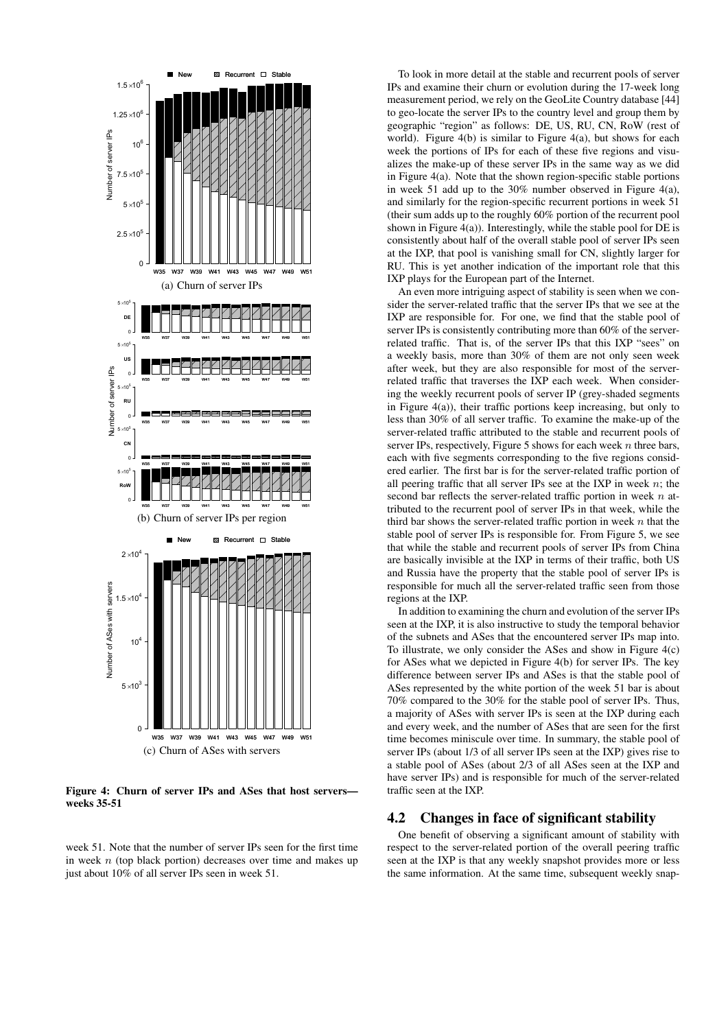

Figure 4: Churn of server IPs and ASes that host servers weeks 35-51

week 51. Note that the number of server IPs seen for the first time in week  $n$  (top black portion) decreases over time and makes up just about 10% of all server IPs seen in week 51.

To look in more detail at the stable and recurrent pools of server IPs and examine their churn or evolution during the 17-week long measurement period, we rely on the GeoLite Country database [44] to geo-locate the server IPs to the country level and group them by geographic "region" as follows: DE, US, RU, CN, RoW (rest of world). Figure 4(b) is similar to Figure 4(a), but shows for each week the portions of IPs for each of these five regions and visualizes the make-up of these server IPs in the same way as we did in Figure 4(a). Note that the shown region-specific stable portions in week 51 add up to the 30% number observed in Figure 4(a), and similarly for the region-specific recurrent portions in week 51 (their sum adds up to the roughly 60% portion of the recurrent pool shown in Figure 4(a)). Interestingly, while the stable pool for DE is consistently about half of the overall stable pool of server IPs seen at the IXP, that pool is vanishing small for CN, slightly larger for RU. This is yet another indication of the important role that this IXP plays for the European part of the Internet.

An even more intriguing aspect of stability is seen when we consider the server-related traffic that the server IPs that we see at the IXP are responsible for. For one, we find that the stable pool of server IPs is consistently contributing more than 60% of the serverrelated traffic. That is, of the server IPs that this IXP "sees" on a weekly basis, more than 30% of them are not only seen week after week, but they are also responsible for most of the serverrelated traffic that traverses the IXP each week. When considering the weekly recurrent pools of server IP (grey-shaded segments in Figure 4(a)), their traffic portions keep increasing, but only to less than 30% of all server traffic. To examine the make-up of the server-related traffic attributed to the stable and recurrent pools of server IPs, respectively, Figure 5 shows for each week  $n$  three bars, each with five segments corresponding to the five regions considered earlier. The first bar is for the server-related traffic portion of all peering traffic that all server IPs see at the IXP in week  $n$ ; the second bar reflects the server-related traffic portion in week  $n$  attributed to the recurrent pool of server IPs in that week, while the third bar shows the server-related traffic portion in week  $n$  that the stable pool of server IPs is responsible for. From Figure 5, we see that while the stable and recurrent pools of server IPs from China are basically invisible at the IXP in terms of their traffic, both US and Russia have the property that the stable pool of server IPs is responsible for much all the server-related traffic seen from those regions at the IXP.

In addition to examining the churn and evolution of the server IPs seen at the IXP, it is also instructive to study the temporal behavior of the subnets and ASes that the encountered server IPs map into. To illustrate, we only consider the ASes and show in Figure 4(c) for ASes what we depicted in Figure 4(b) for server IPs. The key difference between server IPs and ASes is that the stable pool of ASes represented by the white portion of the week 51 bar is about 70% compared to the 30% for the stable pool of server IPs. Thus, a majority of ASes with server IPs is seen at the IXP during each and every week, and the number of ASes that are seen for the first time becomes miniscule over time. In summary, the stable pool of server IPs (about 1/3 of all server IPs seen at the IXP) gives rise to a stable pool of ASes (about 2/3 of all ASes seen at the IXP and have server IPs) and is responsible for much of the server-related traffic seen at the IXP.

#### 4.2 Changes in face of significant stability

One benefit of observing a significant amount of stability with respect to the server-related portion of the overall peering traffic seen at the IXP is that any weekly snapshot provides more or less the same information. At the same time, subsequent weekly snap-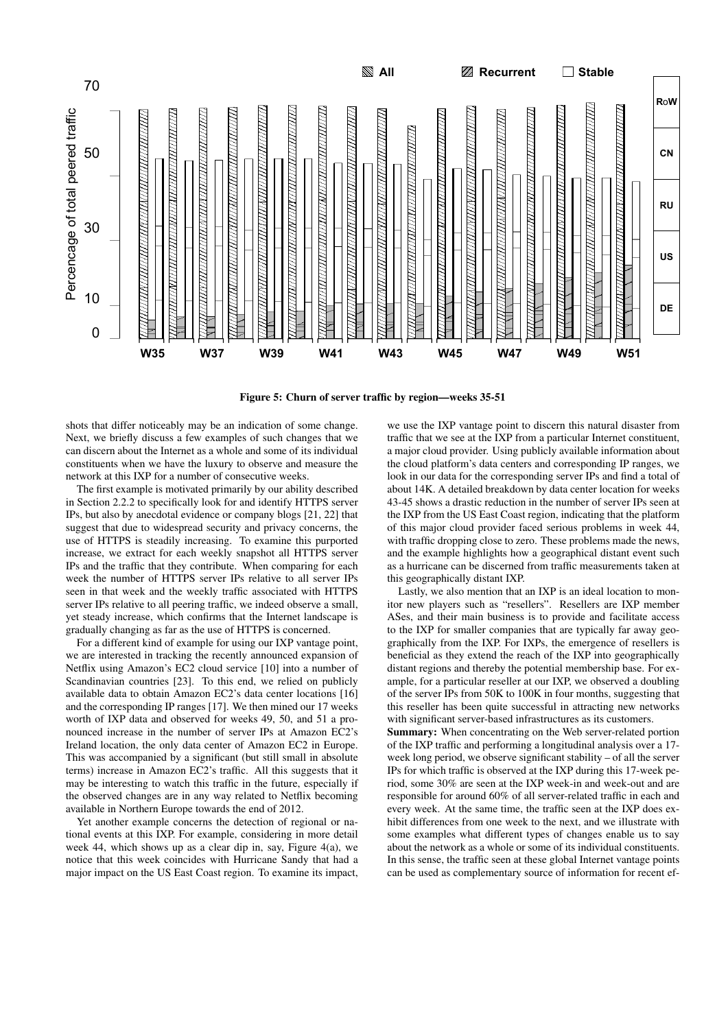

Figure 5: Churn of server traffic by region—weeks 35-51

shots that differ noticeably may be an indication of some change. Next, we briefly discuss a few examples of such changes that we can discern about the Internet as a whole and some of its individual constituents when we have the luxury to observe and measure the network at this IXP for a number of consecutive weeks.

The first example is motivated primarily by our ability described in Section 2.2.2 to specifically look for and identify HTTPS server IPs, but also by anecdotal evidence or company blogs [21, 22] that suggest that due to widespread security and privacy concerns, the use of HTTPS is steadily increasing. To examine this purported increase, we extract for each weekly snapshot all HTTPS server IPs and the traffic that they contribute. When comparing for each week the number of HTTPS server IPs relative to all server IPs seen in that week and the weekly traffic associated with HTTPS server IPs relative to all peering traffic, we indeed observe a small, yet steady increase, which confirms that the Internet landscape is gradually changing as far as the use of HTTPS is concerned.

For a different kind of example for using our IXP vantage point, we are interested in tracking the recently announced expansion of Netflix using Amazon's EC2 cloud service [10] into a number of Scandinavian countries [23]. To this end, we relied on publicly available data to obtain Amazon EC2's data center locations [16] and the corresponding IP ranges [17]. We then mined our 17 weeks worth of IXP data and observed for weeks 49, 50, and 51 a pronounced increase in the number of server IPs at Amazon EC2's Ireland location, the only data center of Amazon EC2 in Europe. This was accompanied by a significant (but still small in absolute terms) increase in Amazon EC2's traffic. All this suggests that it may be interesting to watch this traffic in the future, especially if the observed changes are in any way related to Netflix becoming available in Northern Europe towards the end of 2012.

Yet another example concerns the detection of regional or national events at this IXP. For example, considering in more detail week 44, which shows up as a clear dip in, say, Figure 4(a), we notice that this week coincides with Hurricane Sandy that had a major impact on the US East Coast region. To examine its impact,

we use the IXP vantage point to discern this natural disaster from traffic that we see at the IXP from a particular Internet constituent, a major cloud provider. Using publicly available information about the cloud platform's data centers and corresponding IP ranges, we look in our data for the corresponding server IPs and find a total of about 14K. A detailed breakdown by data center location for weeks 43-45 shows a drastic reduction in the number of server IPs seen at the IXP from the US East Coast region, indicating that the platform of this major cloud provider faced serious problems in week 44, with traffic dropping close to zero. These problems made the news, and the example highlights how a geographical distant event such as a hurricane can be discerned from traffic measurements taken at this geographically distant IXP.

Lastly, we also mention that an IXP is an ideal location to monitor new players such as "resellers". Resellers are IXP member ASes, and their main business is to provide and facilitate access to the IXP for smaller companies that are typically far away geographically from the IXP. For IXPs, the emergence of resellers is beneficial as they extend the reach of the IXP into geographically distant regions and thereby the potential membership base. For example, for a particular reseller at our IXP, we observed a doubling of the server IPs from 50K to 100K in four months, suggesting that this reseller has been quite successful in attracting new networks with significant server-based infrastructures as its customers.

Summary: When concentrating on the Web server-related portion of the IXP traffic and performing a longitudinal analysis over a 17 week long period, we observe significant stability – of all the server IPs for which traffic is observed at the IXP during this 17-week period, some 30% are seen at the IXP week-in and week-out and are responsible for around 60% of all server-related traffic in each and every week. At the same time, the traffic seen at the IXP does exhibit differences from one week to the next, and we illustrate with some examples what different types of changes enable us to say about the network as a whole or some of its individual constituents. In this sense, the traffic seen at these global Internet vantage points can be used as complementary source of information for recent ef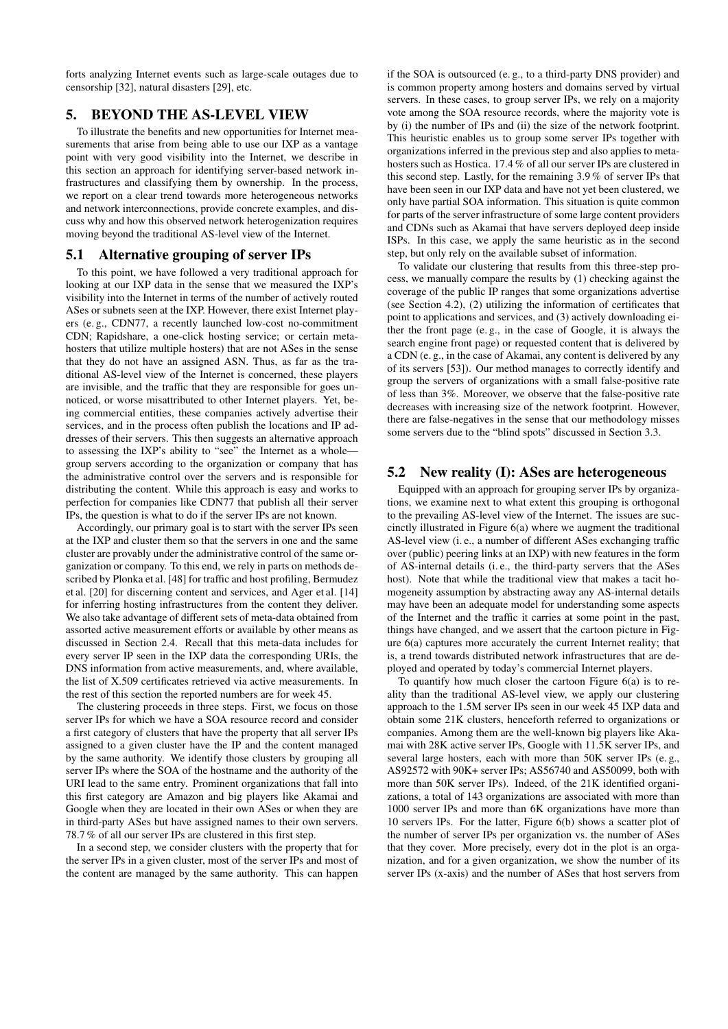forts analyzing Internet events such as large-scale outages due to censorship [32], natural disasters [29], etc.

# 5. BEYOND THE AS-LEVEL VIEW

To illustrate the benefits and new opportunities for Internet measurements that arise from being able to use our IXP as a vantage point with very good visibility into the Internet, we describe in this section an approach for identifying server-based network infrastructures and classifying them by ownership. In the process, we report on a clear trend towards more heterogeneous networks and network interconnections, provide concrete examples, and discuss why and how this observed network heterogenization requires moving beyond the traditional AS-level view of the Internet.

#### 5.1 Alternative grouping of server IPs

To this point, we have followed a very traditional approach for looking at our IXP data in the sense that we measured the IXP's visibility into the Internet in terms of the number of actively routed ASes or subnets seen at the IXP. However, there exist Internet players (e. g., CDN77, a recently launched low-cost no-commitment CDN; Rapidshare, a one-click hosting service; or certain metahosters that utilize multiple hosters) that are not ASes in the sense that they do not have an assigned ASN. Thus, as far as the traditional AS-level view of the Internet is concerned, these players are invisible, and the traffic that they are responsible for goes unnoticed, or worse misattributed to other Internet players. Yet, being commercial entities, these companies actively advertise their services, and in the process often publish the locations and IP addresses of their servers. This then suggests an alternative approach to assessing the IXP's ability to "see" the Internet as a whole group servers according to the organization or company that has the administrative control over the servers and is responsible for distributing the content. While this approach is easy and works to perfection for companies like CDN77 that publish all their server IPs, the question is what to do if the server IPs are not known.

Accordingly, our primary goal is to start with the server IPs seen at the IXP and cluster them so that the servers in one and the same cluster are provably under the administrative control of the same organization or company. To this end, we rely in parts on methods described by Plonka et al. [48] for traffic and host profiling, Bermudez et al. [20] for discerning content and services, and Ager et al. [14] for inferring hosting infrastructures from the content they deliver. We also take advantage of different sets of meta-data obtained from assorted active measurement efforts or available by other means as discussed in Section 2.4. Recall that this meta-data includes for every server IP seen in the IXP data the corresponding URIs, the DNS information from active measurements, and, where available, the list of X.509 certificates retrieved via active measurements. In the rest of this section the reported numbers are for week 45.

The clustering proceeds in three steps. First, we focus on those server IPs for which we have a SOA resource record and consider a first category of clusters that have the property that all server IPs assigned to a given cluster have the IP and the content managed by the same authority. We identify those clusters by grouping all server IPs where the SOA of the hostname and the authority of the URI lead to the same entry. Prominent organizations that fall into this first category are Amazon and big players like Akamai and Google when they are located in their own ASes or when they are in third-party ASes but have assigned names to their own servers. 78.7 % of all our server IPs are clustered in this first step.

In a second step, we consider clusters with the property that for the server IPs in a given cluster, most of the server IPs and most of the content are managed by the same authority. This can happen

if the SOA is outsourced (e. g., to a third-party DNS provider) and is common property among hosters and domains served by virtual servers. In these cases, to group server IPs, we rely on a majority vote among the SOA resource records, where the majority vote is by (i) the number of IPs and (ii) the size of the network footprint. This heuristic enables us to group some server IPs together with organizations inferred in the previous step and also applies to metahosters such as Hostica. 17.4 % of all our server IPs are clustered in this second step. Lastly, for the remaining 3.9 % of server IPs that have been seen in our IXP data and have not yet been clustered, we only have partial SOA information. This situation is quite common for parts of the server infrastructure of some large content providers and CDNs such as Akamai that have servers deployed deep inside ISPs. In this case, we apply the same heuristic as in the second step, but only rely on the available subset of information.

To validate our clustering that results from this three-step process, we manually compare the results by (1) checking against the coverage of the public IP ranges that some organizations advertise (see Section 4.2), (2) utilizing the information of certificates that point to applications and services, and (3) actively downloading either the front page (e. g., in the case of Google, it is always the search engine front page) or requested content that is delivered by a CDN (e. g., in the case of Akamai, any content is delivered by any of its servers [53]). Our method manages to correctly identify and group the servers of organizations with a small false-positive rate of less than 3%. Moreover, we observe that the false-positive rate decreases with increasing size of the network footprint. However, there are false-negatives in the sense that our methodology misses some servers due to the "blind spots" discussed in Section 3.3.

## 5.2 New reality (I): ASes are heterogeneous

Equipped with an approach for grouping server IPs by organizations, we examine next to what extent this grouping is orthogonal to the prevailing AS-level view of the Internet. The issues are succinctly illustrated in Figure 6(a) where we augment the traditional AS-level view (i. e., a number of different ASes exchanging traffic over (public) peering links at an IXP) with new features in the form of AS-internal details (i. e., the third-party servers that the ASes host). Note that while the traditional view that makes a tacit homogeneity assumption by abstracting away any AS-internal details may have been an adequate model for understanding some aspects of the Internet and the traffic it carries at some point in the past, things have changed, and we assert that the cartoon picture in Figure 6(a) captures more accurately the current Internet reality; that is, a trend towards distributed network infrastructures that are deployed and operated by today's commercial Internet players.

To quantify how much closer the cartoon Figure 6(a) is to reality than the traditional AS-level view, we apply our clustering approach to the 1.5M server IPs seen in our week 45 IXP data and obtain some 21K clusters, henceforth referred to organizations or companies. Among them are the well-known big players like Akamai with 28K active server IPs, Google with 11.5K server IPs, and several large hosters, each with more than 50K server IPs (e. g., AS92572 with 90K+ server IPs; AS56740 and AS50099, both with more than 50K server IPs). Indeed, of the 21K identified organizations, a total of 143 organizations are associated with more than 1000 server IPs and more than 6K organizations have more than 10 servers IPs. For the latter, Figure 6(b) shows a scatter plot of the number of server IPs per organization vs. the number of ASes that they cover. More precisely, every dot in the plot is an organization, and for a given organization, we show the number of its server IPs (x-axis) and the number of ASes that host servers from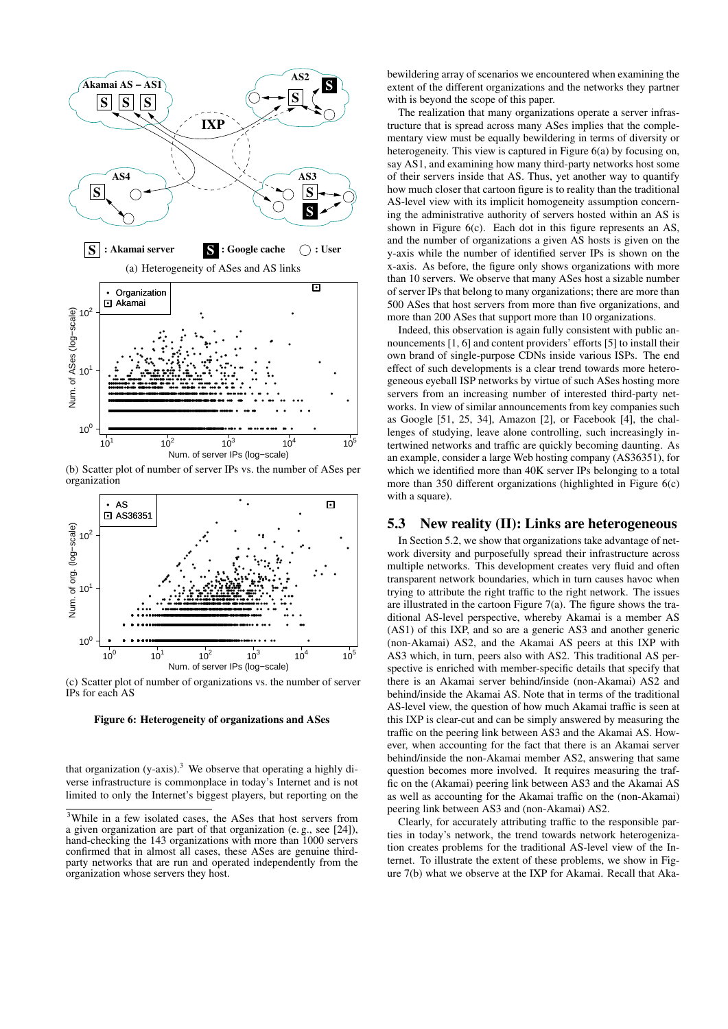

(b) Scatter plot of number of server IPs vs. the number of ASes per organization



(c) Scatter plot of number of organizations vs. the number of server IPs for each AS

Figure 6: Heterogeneity of organizations and ASes

that organization  $(y-axis)$ .<sup>3</sup> We observe that operating a highly diverse infrastructure is commonplace in today's Internet and is not limited to only the Internet's biggest players, but reporting on the

bewildering array of scenarios we encountered when examining the extent of the different organizations and the networks they partner with is beyond the scope of this paper.

The realization that many organizations operate a server infrastructure that is spread across many ASes implies that the complementary view must be equally bewildering in terms of diversity or heterogeneity. This view is captured in Figure 6(a) by focusing on, say AS1, and examining how many third-party networks host some of their servers inside that AS. Thus, yet another way to quantify how much closer that cartoon figure is to reality than the traditional AS-level view with its implicit homogeneity assumption concerning the administrative authority of servers hosted within an AS is shown in Figure 6(c). Each dot in this figure represents an AS, and the number of organizations a given AS hosts is given on the y-axis while the number of identified server IPs is shown on the x-axis. As before, the figure only shows organizations with more than 10 servers. We observe that many ASes host a sizable number of server IPs that belong to many organizations; there are more than 500 ASes that host servers from more than five organizations, and more than 200 ASes that support more than 10 organizations.

Indeed, this observation is again fully consistent with public announcements [1, 6] and content providers' efforts [5] to install their own brand of single-purpose CDNs inside various ISPs. The end effect of such developments is a clear trend towards more heterogeneous eyeball ISP networks by virtue of such ASes hosting more servers from an increasing number of interested third-party networks. In view of similar announcements from key companies such as Google [51, 25, 34], Amazon [2], or Facebook [4], the challenges of studying, leave alone controlling, such increasingly intertwined networks and traffic are quickly becoming daunting. As an example, consider a large Web hosting company (AS36351), for which we identified more than 40K server IPs belonging to a total more than 350 different organizations (highlighted in Figure 6(c) with a square).

#### 5.3 New reality (II): Links are heterogeneous

In Section 5.2, we show that organizations take advantage of network diversity and purposefully spread their infrastructure across multiple networks. This development creates very fluid and often transparent network boundaries, which in turn causes havoc when trying to attribute the right traffic to the right network. The issues are illustrated in the cartoon Figure 7(a). The figure shows the traditional AS-level perspective, whereby Akamai is a member AS (AS1) of this IXP, and so are a generic AS3 and another generic (non-Akamai) AS2, and the Akamai AS peers at this IXP with AS3 which, in turn, peers also with AS2. This traditional AS perspective is enriched with member-specific details that specify that there is an Akamai server behind/inside (non-Akamai) AS2 and behind/inside the Akamai AS. Note that in terms of the traditional AS-level view, the question of how much Akamai traffic is seen at this IXP is clear-cut and can be simply answered by measuring the traffic on the peering link between AS3 and the Akamai AS. However, when accounting for the fact that there is an Akamai server behind/inside the non-Akamai member AS2, answering that same question becomes more involved. It requires measuring the traffic on the (Akamai) peering link between AS3 and the Akamai AS as well as accounting for the Akamai traffic on the (non-Akamai) peering link between AS3 and (non-Akamai) AS2.

Clearly, for accurately attributing traffic to the responsible parties in today's network, the trend towards network heterogenization creates problems for the traditional AS-level view of the Internet. To illustrate the extent of these problems, we show in Figure 7(b) what we observe at the IXP for Akamai. Recall that Aka-

<sup>3</sup>While in a few isolated cases, the ASes that host servers from a given organization are part of that organization (e. g., see [24]), hand-checking the 143 organizations with more than 1000 servers confirmed that in almost all cases, these ASes are genuine thirdparty networks that are run and operated independently from the organization whose servers they host.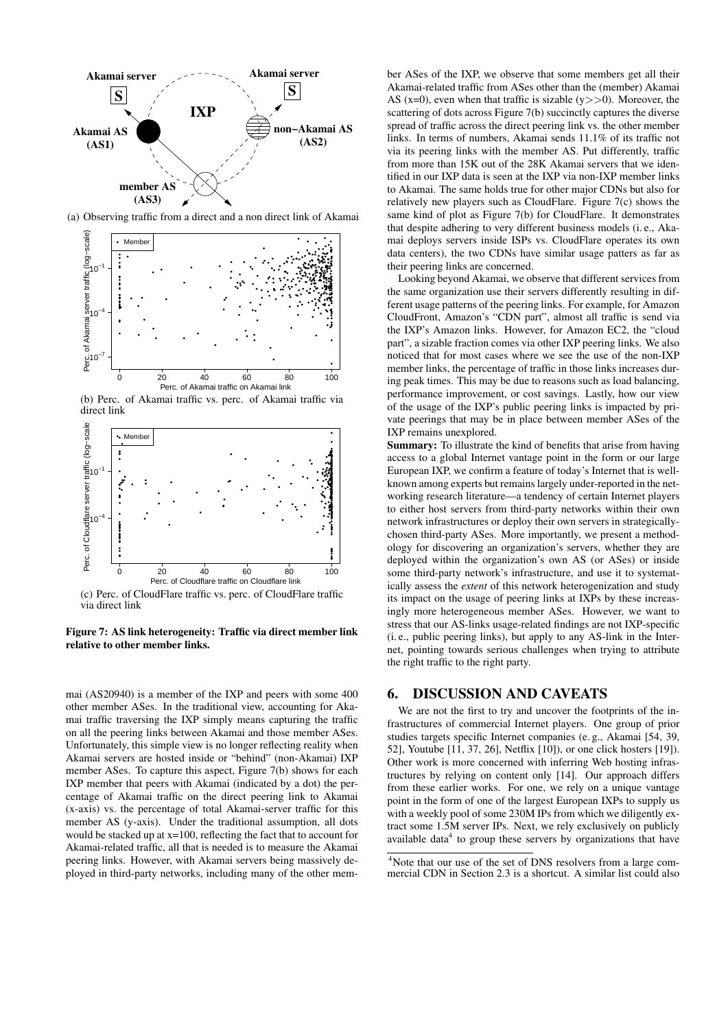

(a) Observing traffic from a direct and a non direct link of Akamai



(b) Perc. of Akamai traffic vs. perc. of Akamai traffic via direct link



(c) Perc. of CloudFlare traffic vs. perc. of CloudFlare traffic via direct link

Figure 7: AS link heterogeneity: Traffic via direct member link relative to other member links.

mai (AS20940) is a member of the IXP and peers with some 400 other member ASes. In the traditional view, accounting for Akamai traffic traversing the IXP simply means capturing the traffic on all the peering links between Akamai and those member ASes. Unfortunately, this simple view is no longer reflecting reality when Akamai servers are hosted inside or "behind" (non-Akamai) IXP member ASes. To capture this aspect, Figure 7(b) shows for each IXP member that peers with Akamai (indicated by a dot) the percentage of Akamai traffic on the direct peering link to Akamai (x-axis) vs. the percentage of total Akamai-server traffic for this member AS (y-axis). Under the traditional assumption, all dots would be stacked up at x=100, reflecting the fact that to account for Akamai-related traffic, all that is needed is to measure the Akamai peering links. However, with Akamai servers being massively deployed in third-party networks, including many of the other member ASes of the IXP, we observe that some members get all their Akamai-related traffic from ASes other than the (member) Akamai AS (x=0), even when that traffic is sizable  $(y \gt>0)$ . Moreover, the scattering of dots across Figure 7(b) succinctly captures the diverse spread of traffic across the direct peering link vs. the other member links. In terms of numbers, Akamai sends 11.1% of its traffic not via its peering links with the member AS. Put differently, traffic from more than 15K out of the 28K Akamai servers that we identified in our IXP data is seen at the IXP via non-IXP member links to Akamai. The same holds true for other major CDNs but also for relatively new players such as CloudFlare. Figure 7(c) shows the same kind of plot as Figure 7(b) for CloudFlare. It demonstrates that despite adhering to very different business models (i. e., Akamai deploys servers inside ISPs vs. CloudFlare operates its own data centers), the two CDNs have similar usage patters as far as their peering links are concerned.

Looking beyond Akamai, we observe that different services from the same organization use their servers differently resulting in different usage patterns of the peering links. For example, for Amazon CloudFront, Amazon's "CDN part", almost all traffic is send via the IXP's Amazon links. However, for Amazon EC2, the "cloud part", a sizable fraction comes via other IXP peering links. We also noticed that for most cases where we see the use of the non-IXP member links, the percentage of traffic in those links increases during peak times. This may be due to reasons such as load balancing, performance improvement, or cost savings. Lastly, how our view of the usage of the IXP's public peering links is impacted by private peerings that may be in place between member ASes of the IXP remains unexplored.

Summary: To illustrate the kind of benefits that arise from having access to a global Internet vantage point in the form or our large European IXP, we confirm a feature of today's Internet that is wellknown among experts but remains largely under-reported in the networking research literature—a tendency of certain Internet players to either host servers from third-party networks within their own network infrastructures or deploy their own servers in strategicallychosen third-party ASes. More importantly, we present a methodology for discovering an organization's servers, whether they are deployed within the organization's own AS (or ASes) or inside some third-party network's infrastructure, and use it to systematically assess the *extent* of this network heterogenization and study its impact on the usage of peering links at IXPs by these increasingly more heterogeneous member ASes. However, we want to stress that our AS-links usage-related findings are not IXP-specific (i. e., public peering links), but apply to any AS-link in the Internet, pointing towards serious challenges when trying to attribute the right traffic to the right party.

# 6. DISCUSSION AND CAVEATS

We are not the first to try and uncover the footprints of the infrastructures of commercial Internet players. One group of prior studies targets specific Internet companies (e. g., Akamai [54, 39, 52], Youtube [11, 37, 26], Netflix [10]), or one click hosters [19]). Other work is more concerned with inferring Web hosting infrastructures by relying on content only [14]. Our approach differs from these earlier works. For one, we rely on a unique vantage point in the form of one of the largest European IXPs to supply us with a weekly pool of some 230M IPs from which we diligently extract some 1.5M server IPs. Next, we rely exclusively on publicly available data $4$  to group these servers by organizations that have

<sup>&</sup>lt;sup>4</sup>Note that our use of the set of DNS resolvers from a large commercial CDN in Section 2.3 is a shortcut. A similar list could also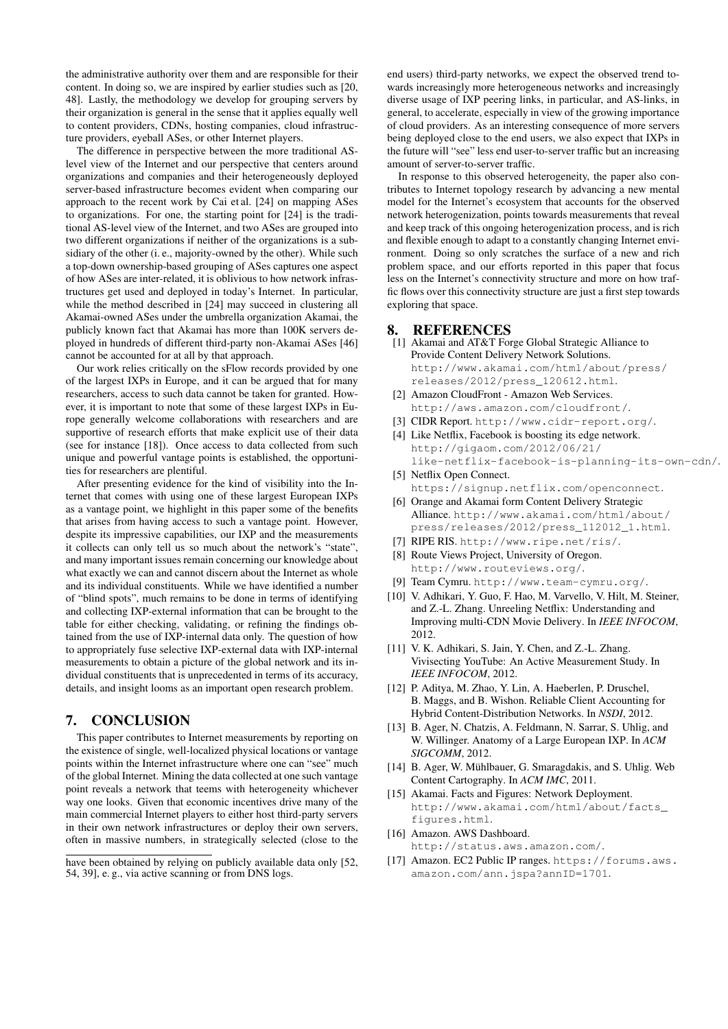the administrative authority over them and are responsible for their content. In doing so, we are inspired by earlier studies such as [20, 48]. Lastly, the methodology we develop for grouping servers by their organization is general in the sense that it applies equally well to content providers, CDNs, hosting companies, cloud infrastructure providers, eyeball ASes, or other Internet players.

The difference in perspective between the more traditional ASlevel view of the Internet and our perspective that centers around organizations and companies and their heterogeneously deployed server-based infrastructure becomes evident when comparing our approach to the recent work by Cai et al. [24] on mapping ASes to organizations. For one, the starting point for [24] is the traditional AS-level view of the Internet, and two ASes are grouped into two different organizations if neither of the organizations is a subsidiary of the other (i. e., majority-owned by the other). While such a top-down ownership-based grouping of ASes captures one aspect of how ASes are inter-related, it is oblivious to how network infrastructures get used and deployed in today's Internet. In particular, while the method described in [24] may succeed in clustering all Akamai-owned ASes under the umbrella organization Akamai, the publicly known fact that Akamai has more than 100K servers deployed in hundreds of different third-party non-Akamai ASes [46] cannot be accounted for at all by that approach.

Our work relies critically on the sFlow records provided by one of the largest IXPs in Europe, and it can be argued that for many researchers, access to such data cannot be taken for granted. However, it is important to note that some of these largest IXPs in Europe generally welcome collaborations with researchers and are supportive of research efforts that make explicit use of their data (see for instance [18]). Once access to data collected from such unique and powerful vantage points is established, the opportunities for researchers are plentiful.

After presenting evidence for the kind of visibility into the Internet that comes with using one of these largest European IXPs as a vantage point, we highlight in this paper some of the benefits that arises from having access to such a vantage point. However, despite its impressive capabilities, our IXP and the measurements it collects can only tell us so much about the network's "state", and many important issues remain concerning our knowledge about what exactly we can and cannot discern about the Internet as whole and its individual constituents. While we have identified a number of "blind spots", much remains to be done in terms of identifying and collecting IXP-external information that can be brought to the table for either checking, validating, or refining the findings obtained from the use of IXP-internal data only. The question of how to appropriately fuse selective IXP-external data with IXP-internal measurements to obtain a picture of the global network and its individual constituents that is unprecedented in terms of its accuracy, details, and insight looms as an important open research problem.

# 7. CONCLUSION

This paper contributes to Internet measurements by reporting on the existence of single, well-localized physical locations or vantage points within the Internet infrastructure where one can "see" much of the global Internet. Mining the data collected at one such vantage point reveals a network that teems with heterogeneity whichever way one looks. Given that economic incentives drive many of the main commercial Internet players to either host third-party servers in their own network infrastructures or deploy their own servers, often in massive numbers, in strategically selected (close to the

end users) third-party networks, we expect the observed trend towards increasingly more heterogeneous networks and increasingly diverse usage of IXP peering links, in particular, and AS-links, in general, to accelerate, especially in view of the growing importance of cloud providers. As an interesting consequence of more servers being deployed close to the end users, we also expect that IXPs in the future will "see" less end user-to-server traffic but an increasing amount of server-to-server traffic.

In response to this observed heterogeneity, the paper also contributes to Internet topology research by advancing a new mental model for the Internet's ecosystem that accounts for the observed network heterogenization, points towards measurements that reveal and keep track of this ongoing heterogenization process, and is rich and flexible enough to adapt to a constantly changing Internet environment. Doing so only scratches the surface of a new and rich problem space, and our efforts reported in this paper that focus less on the Internet's connectivity structure and more on how traffic flows over this connectivity structure are just a first step towards exploring that space.

## **REFERENCES**

- [1] Akamai and AT&T Forge Global Strategic Alliance to Provide Content Delivery Network Solutions. http://www.akamai.com/html/about/press/ releases/2012/press\_120612.html.
- [2] Amazon CloudFront Amazon Web Services. http://aws.amazon.com/cloudfront/.
- [3] CIDR Report. http://www.cidr-report.org/.
- [4] Like Netflix, Facebook is boosting its edge network. http://gigaom.com/2012/06/21/ like-netflix-facebook-is-planning-its-own-cdn/.
- [5] Netflix Open Connect. https://signup.netflix.com/openconnect.
- [6] Orange and Akamai form Content Delivery Strategic Alliance. http://www.akamai.com/html/about/ press/releases/2012/press\_112012\_1.html.
- [7] RIPE RIS. http://www.ripe.net/ris/.
- [8] Route Views Project, University of Oregon. http://www.routeviews.org/.
- [9] Team Cymru. http://www.team-cymru.org/.
- [10] V. Adhikari, Y. Guo, F. Hao, M. Varvello, V. Hilt, M. Steiner, and Z.-L. Zhang. Unreeling Netflix: Understanding and Improving multi-CDN Movie Delivery. In *IEEE INFOCOM*, 2012.
- [11] V. K. Adhikari, S. Jain, Y. Chen, and Z.-L. Zhang. Vivisecting YouTube: An Active Measurement Study. In *IEEE INFOCOM*, 2012.
- [12] P. Aditya, M. Zhao, Y. Lin, A. Haeberlen, P. Druschel, B. Maggs, and B. Wishon. Reliable Client Accounting for Hybrid Content-Distribution Networks. In *NSDI*, 2012.
- [13] B. Ager, N. Chatzis, A. Feldmann, N. Sarrar, S. Uhlig, and W. Willinger. Anatomy of a Large European IXP. In *ACM SIGCOMM*, 2012.
- [14] B. Ager, W. Mühlbauer, G. Smaragdakis, and S. Uhlig. Web Content Cartography. In *ACM IMC*, 2011.
- [15] Akamai. Facts and Figures: Network Deployment. http://www.akamai.com/html/about/facts\_ figures.html.
- [16] Amazon. AWS Dashboard. http://status.aws.amazon.com/.
- [17] Amazon. EC2 Public IP ranges. https://forums.aws. amazon.com/ann.jspa?annID=1701.

have been obtained by relying on publicly available data only [52, 54, 39], e. g., via active scanning or from DNS logs.